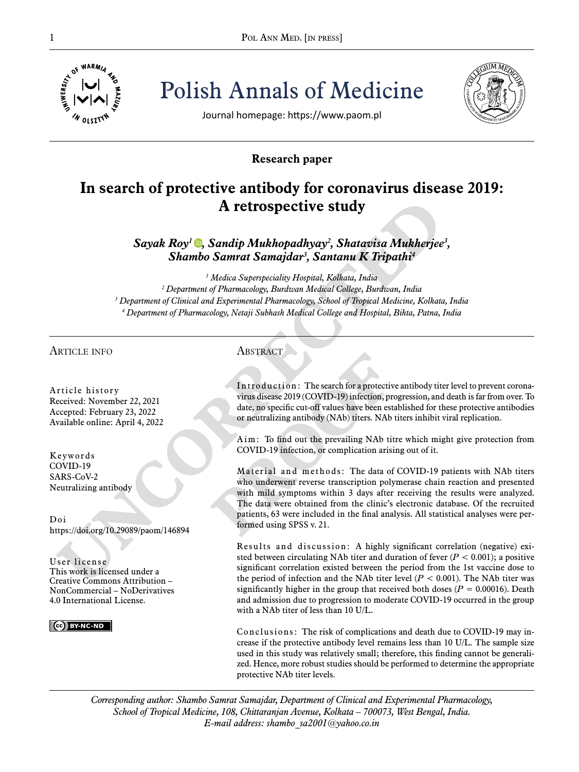

Pol ANN MED. [IN PRESS]<br>  $\frac{1}{\frac{1}{2}}$  o<sup>f WARM/4</sup>  $\frac{1}{2}$ <br>  $\frac{1}{2}$   $\frac{1}{2}$   $\frac{1}{2}$   $\frac{1}{2}$   $\frac{1}{2}$   $\frac{1}{2}$   $\frac{1}{2}$   $\frac{1}{2}$   $\frac{1}{2}$   $\frac{1}{2}$   $\frac{1}{2}$   $\frac{1}{2}$   $\frac{1}{2}$   $\frac{1}{2}$   $\frac{1}{2}$   $\frac{1}{2}$ Polish Annals of Medicine



Journal homepage: https://www.paom.pl

# **Research paper**

# **In search of protective antibody for coronavirus disease 2019: A retrospective study**

*Sayak Roy1 [,](https://orcid.org/0000-0002-6185-9375) Sandip Mukhopadhyay2 , Shatavisa Mukherjee3 , Shambo Samrat Samajdar3 , Santanu K Tripathi4*

  *Medica Superspeciality Hospital, Kolkata, India Department of Pharmacology, Burdwan Medical College, Burdwan, India Department of Clinical and Experimental Pharmacology, School of Tropical Medicine, Kolkata, India Department of Pharmacology, Netaji Subhash Medical College and Hospital, Bihta, Patna, India*

# article info

Article history Received: November 22, 2021 Accepted: February 23, 2022 Available online: April 4, 2022

Keywords COVID-19 SARS-CoV-2 Neutralizing antibody

Doi https://doi.org/10.29089/paom/146894

User license This work is licensed under a Creative Commons Attribution – NonCommercial – NoDerivatives 4.0 International License.

CC BY-NC-ND

# **ABSTRACT**

Introduction: The search for a protective antibody titer level to prevent coronavirus disease 2019 (COVID-19) infection, progression, and death is far from over. To date, no specific cut-off values have been established for these protective antibodies or neutralizing antibody (NAb) titers. NAb titers inhibit viral replication.

Aim: To find out the prevailing NAb titre which might give protection from COVID-19 infection, or complication arising out of it.

Material and methods: The data of COVID-19 patients with NAb titers who underwent reverse transcription polymerase chain reaction and presented with mild symptoms within 3 days after receiving the results were analyzed. The data were obtained from the clinic's electronic database. Of the recruited patients, 63 were included in the final analysis. All statistical analyses were performed using SPSS v. 21.

Results and discussion: A highly significant correlation (negative) existed between circulating NAb titer and duration of fever  $(P < 0.001)$ ; a positive significant correlation existed between the period from the 1st vaccine dose to the period of infection and the NAb titer level  $(P < 0.001)$ . The NAb titer was significantly higher in the group that received both doses  $(P = 0.00016)$ . Death and admission due to progression to moderate COVID-19 occurred in the group with a NAb titer of less than 10 U/L.

Conclusions: The risk of complications and death due to COVID-19 may increase if the protective antibody level remains less than 10 U/L. The sample size used in this study was relatively small; therefore, this finding cannot be generalized. Hence, more robust studies should be performed to determine the appropriate protective NAb titer levels.

*Corresponding author: Shambo Samrat Samajdar, Department of Clinical and Experimental Pharmacology, School of Tropical Medicine, 108, Chittaranjan Avenue, Kolkata – 700073, West Bengal, India. E-mail address: shambo\_sa2001@yahoo.co.in*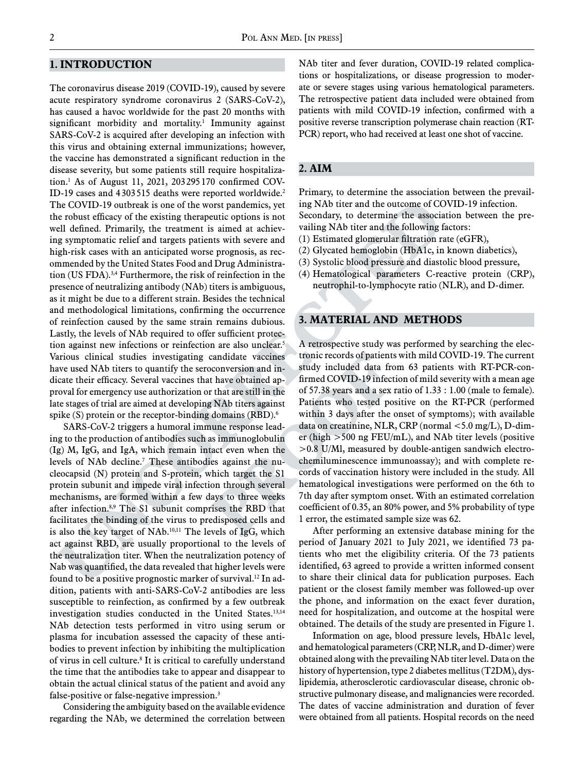### **1. Introduction**

The coronavirus disease 2019 (COVID-19), caused by severe acute respiratory syndrome coronavirus 2 (SARS-CoV-2), has caused a havoc worldwide for the past 20 months with significant morbidity and mortality.<sup>1</sup> Immunity against SARS-CoV-2 is acquired after developing an infection with this virus and obtaining external immunizations; however, the vaccine has demonstrated a significant reduction in the disease severity, but some patients still require hospitalization.1 As of August 11, 2021, 203 295 170 confirmed COV-ID-19 cases and 4 303 515 deaths were reported worldwide.2 The COVID-19 outbreak is one of the worst pandemics, yet the robust efficacy of the existing therapeutic options is not well defined. Primarily, the treatment is aimed at achieving symptomatic relief and targets patients with severe and high-risk cases with an anticipated worse prognosis, as recommended by the United States Food and Drug Administration (US FDA).3,4 Furthermore, the risk of reinfection in the presence of neutralizing antibody (NAb) titers is ambiguous, as it might be due to a different strain. Besides the technical and methodological limitations, confirming the occurrence of reinfection caused by the same strain remains dubious. Lastly, the levels of NAb required to offer sufficient protection against new infections or reinfection are also unclear.<sup>5</sup> Various clinical studies investigating candidate vaccines have used NAb titers to quantify the seroconversion and indicate their efficacy. Several vaccines that have obtained approval for emergency use authorization or that are still in the late stages of trial are aimed at developing NAb titers against spike (S) protein or the receptor-binding domains (RBD).<sup>6</sup>

SARS-CoV-2 triggers a humoral immune response leading to the production of antibodies such as immunoglobulin (Ig) M, IgG, and IgA, which remain intact even when the levels of NAb decline.7 These antibodies against the nucleocapsid (N) protein and S-protein, which target the S1 protein subunit and impede viral infection through several mechanisms, are formed within a few days to three weeks after infection.8,9 The S1 subunit comprises the RBD that facilitates the binding of the virus to predisposed cells and is also the key target of NAb.<sup>10,11</sup> The levels of IgG, which act against RBD, are usually proportional to the levels of the neutralization titer. When the neutralization potency of Nab was quantified, the data revealed that higher levels were found to be a positive prognostic marker of survival.12 In addition, patients with anti-SARS-CoV-2 antibodies are less susceptible to reinfection, as confirmed by a few outbreak investigation studies conducted in the United States.13,14 NAb detection tests performed in vitro using serum or plasma for incubation assessed the capacity of these antibodies to prevent infection by inhibiting the multiplication of virus in cell culture.8 It is critical to carefully understand the time that the antibodies take to appear and disappear to obtain the actual clinical status of the patient and avoid any false-positive or false-negative impression.<sup>3</sup>

Considering the ambiguity based on the available evidence regarding the NAb, we determined the correlation between NAb titer and fever duration, COVID-19 related complications or hospitalizations, or disease progression to moderate or severe stages using various hematological parameters. The retrospective patient data included were obtained from patients with mild COVID-19 infection, confirmed with a positive reverse transcription polymerase chain reaction (RT-PCR) report, who had received at least one shot of vaccine.

# **2. Aim**

Primary, to determine the association between the prevailing NAb titer and the outcome of COVID-19 infection. Secondary, to determine the association between the prevailing NAb titer and the following factors:

- (1) Estimated glomerular filtration rate (eGFR),
- (2) Glycated hemoglobin (HbA1c, in known diabetics),
- (3) Systolic blood pressure and diastolic blood pressure,
- (4) Hematological parameters C-reactive protein (CRP), neutrophil-to-lymphocyte ratio (NLR), and D-dimer.

# **3. material and Methods**

A retrospective study was performed by searching the electronic records of patients with mild COVID-19. The current study included data from 63 patients with RT-PCR-confirmed COVID-19 infection of mild severity with a mean age of 57.38 years and a sex ratio of 1.33 : 1.00 (male to female). Patients who tested positive on the RT-PCR (performed within 3 days after the onset of symptoms); with available data on creatinine, NLR, CRP (normal <5.0 mg/L), D-dimer (high >500 ng FEU/mL), and NAb titer levels (positive >0.8 U/Ml, measured by double-antigen sandwich electrochemiluminescence immunoassay); and with complete records of vaccination history were included in the study. All hematological investigations were performed on the 6th to 7th day after symptom onset. With an estimated correlation coefficient of 0.35, an 80% power, and 5% probability of type 1 error, the estimated sample size was 62.

After performing an extensive database mining for the period of January 2021 to July 2021, we identified 73 patients who met the eligibility criteria. Of the 73 patients identified, 63 agreed to provide a written informed consent to share their clinical data for publication purposes. Each patient or the closest family member was followed-up over the phone, and information on the exact fever duration, need for hospitalization, and outcome at the hospital were obtained. The details of the study are presented in Figure 1.

Information on age, blood pressure levels, HbA1c level, and hematological parameters (CRP, NLR, and D-dimer) were obtained along with the prevailing NAb titer level. Data on the history of hypertension, type 2 diabetes mellitus (T2DM), dyslipidemia, atherosclerotic cardiovascular disease, chronic obstructive pulmonary disease, and malignancies were recorded. The dates of vaccine administration and duration of fever were obtained from all patients. Hospital records on the need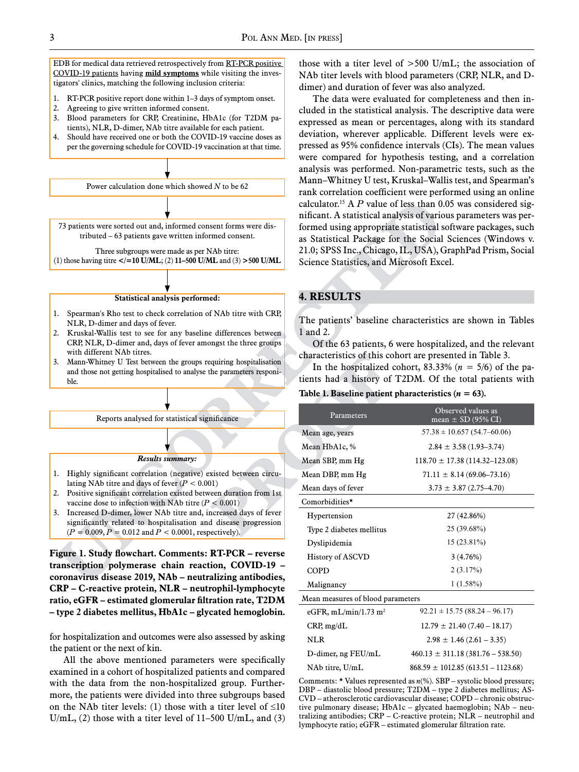EDB for medical data retrieved retrospectively from RT-PCR positive COVID-19 patients having **mild symptoms** while visiting the investigators' clinics, matching the following inclusion criteria:

- 1. RT-PCR positive report done within 1–3 days of symptom onset.
- 2. Agreeing to give written informed consent.
- 3. Blood parameters for CRP, Creatinine, HbA1c (for T2DM patients), NLR, D-dimer, NAb titre available for each patient.
- 4. Should have received one or both the COVID-19 vaccine doses as per the governing schedule for COVID-19 vaccination at that time.



#### **Statistical analysis performed:**

- 1. Spearman's Rho test to check correlation of NAb titre with CRP, NLR, D-dimer and days of fever.
- 2. Kruskal-Wallis test to see for any baseline differences between CRP, NLR, D-dimer and, days of fever amongst the three groups with different NAb titres.
- 3. Mann-Whitney U Test between the groups requiring hospitalisation and those not getting hospitalised to analyse the parameters responible.

Reports analysed for statistical significance

#### *Results summary:*

- 1. Highly significant correlation (negative) existed between circulating NAb titre and days of fever  $(P < 0.001)$
- 2. Positive significant correlation existed between duration from 1st vaccine dose to infection with NAb titre (*P* < 0.001)
- 3. Increased D-dimer, lower NAb titre and, increased days of fever significantly related to hospitalisation and disease progression (*P* = 0.009, *P* = 0.012 and *P* < 0.0001, respectively).

**Figure 1. Study flowchart. Comments: RT-PCR – reverse transcription polymerase chain reaction, COVID-19 – coronavirus disease 2019, NAb – neutralizing antibodies, CRP – C-reactive protein, NLR – neutrophil-lymphocyte ratio, eGFR – estimated glomerular filtration rate, T2DM – type 2 diabetes mellitus, HbA1c – glycated hemoglobin.**

for hospitalization and outcomes were also assessed by asking the patient or the next of kin.

All the above mentioned parameters were specifically examined in a cohort of hospitalized patients and compared with the data from the non-hospitalized group. Furthermore, the patients were divided into three subgroups based on the NAb titer levels: (1) those with a titer level of  $\leq 10$ U/mL, (2) those with a titer level of 11–500 U/mL, and (3) those with a titer level of  $>500$  U/mL; the association of NAb titer levels with blood parameters (CRP, NLR, and Ddimer) and duration of fever was also analyzed.

The data were evaluated for completeness and then included in the statistical analysis. The descriptive data were expressed as mean or percentages, along with its standard deviation, wherever applicable. Different levels were expressed as 95% confidence intervals (CIs). The mean values were compared for hypothesis testing, and a correlation analysis was performed. Non-parametric tests, such as the Mann–Whitney U test, Kruskal–Wallis test, and Spearman's rank correlation coefficient were performed using an online calculator.<sup>15</sup> A  $P$  value of less than 0.05 was considered significant. A statistical analysis of various parameters was performed using appropriate statistical software packages, such as Statistical Package for the Social Sciences (Windows v. 21.0; SPSS Inc., Chicago, IL, USA), GraphPad Prism, Social Science Statistics, and Microsoft Excel.

### **4. Results**

The patients' baseline characteristics are shown in Tables 1 and 2.

Of the 63 patients, 6 were hospitalized, and the relevant characteristics of this cohort are presented in Table 3.

In the hospitalized cohort,  $83.33\%$  ( $n = 5/6$ ) of the patients had a history of T2DM. Of the total patients with

# Table 1. Baseline patient pharacteristics  $(n = 63)$ .

| $460.13 \pm 311.18 (381.76 - 538.50)$  |
|----------------------------------------|
| $868.59 \pm 1012.85(613.51 - 1123.68)$ |
|                                        |

Comments: \* Values represented as *n*(%). SBP – systolic blood pressure; DBP – diastolic blood pressure; T2DM – type 2 diabetes mellitus; AS-CVD – atherosclerotic cardiovascular disease; COPD – chronic obstructive pulmonary disease; HbA1c – glycated haemoglobin; NAb – neutralizing antibodies; CRP – C-reactive protein; NLR – neutrophil and lymphocyte ratio; eGFR – estimated glomerular filtration rate.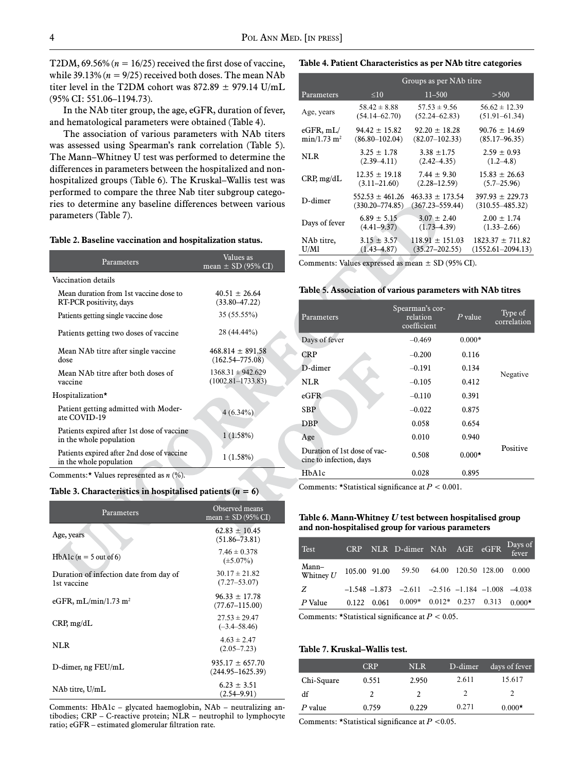T2DM,  $69.56\%$  ( $n = 16/25$ ) received the first dose of vaccine, while 39.13%  $(n = 9/25)$  received both doses. The mean NAb titer level in the T2DM cohort was  $872.89 \pm 979.14$  U/mL (95% CI: 551.06–1194.73).

In the NAb titer group, the age, eGFR, duration of fever, and hematological parameters were obtained (Table 4).

The association of various parameters with NAb titers was assessed using Spearman's rank correlation (Table 5). The Mann–Whitney U test was performed to determine the differences in parameters between the hospitalized and nonhospitalized groups (Table 6). The Kruskal–Wallis test was performed to compare the three Nab titer subgroup categories to determine any baseline differences between various parameters (Table 7).

#### **Table 2. Baseline vaccination and hospitalization status.**

| Parameters                                                            | Values as<br>mean $\pm$ SD (95% CI)            |
|-----------------------------------------------------------------------|------------------------------------------------|
| Vaccination details                                                   |                                                |
| Mean duration from 1st vaccine dose to<br>RT-PCR positivity, days     | $40.51 \pm 26.64$<br>$(33.80 - 47.22)$         |
| Patients getting single vaccine dose                                  | 35 (55.55%)                                    |
| Patients getting two doses of vaccine                                 | 28 (44.44%)                                    |
| Mean NAb titre after single vaccine<br>dose                           | $468.814 \pm 891.58$<br>$(162.54 - 775.08)$    |
| Mean NAb titre after both doses of<br>vaccine                         | $1368.31 \pm 942.629$<br>$(1002.81 - 1733.83)$ |
| Hospitalization*                                                      |                                                |
| Patient getting admitted with Moder-<br>ate COVID-19                  | $4(6.34\%)$                                    |
| Patients expired after 1st dose of vaccine<br>in the whole population | 1(1.58%)                                       |
| Patients expired after 2nd dose of vaccine<br>in the whole population | 1(1.58%)                                       |

Comments:\* Values represented as *n* (%).

#### Table 3. Characteristics in hospitalised patients  $(n = 6)$

| Parameters                                            | Observed means<br>mean $\pm$ SD (95% CI)    |
|-------------------------------------------------------|---------------------------------------------|
| Age, years                                            | $62.83 \pm 10.45$<br>$(51.86 - 73.81)$      |
| HbA1c $(n = 5$ out of 6)                              | $7.46 \pm 0.378$<br>$(\pm 5.07\%)$          |
| Duration of infection date from day of<br>1st vaccine | $30.17 \pm 21.82$<br>$(7.27 - 53.07)$       |
| eGFR, mL/min/1.73 m <sup>2</sup>                      | $96.33 \pm 17.78$<br>$(77.67 - 115.00)$     |
| CRP, mg/dL                                            | $27.53 \pm 29.47$<br>$(-3.4 - 58.46)$       |
| NLR                                                   | $4.63 \pm 2.47$<br>$(2.05 - 7.23)$          |
| $D$ -dimer, ng FEU/mL                                 | $935.17 \pm 657.70$<br>$(244.95 - 1625.39)$ |
| NAb titre, U/mL                                       | $6.23 \pm 3.51$<br>$(2.54 - 9.91)$          |

Comments: HbA1c – glycated haemoglobin, NAb – neutralizing antibodies; CRP – C-reactive protein; NLR – neutrophil to lymphocyte ratio; eGFR – estimated glomerular filtration rate.

|  | Table 4. Patient Characteristics as per NAb titre categories |  |
|--|--------------------------------------------------------------|--|
|--|--------------------------------------------------------------|--|

|                           | Groups as per NAb titre |                     |                       |  |  |  |
|---------------------------|-------------------------|---------------------|-----------------------|--|--|--|
| Parameters                | $\leq 10$               | $11 - 500$          | > 500                 |  |  |  |
| Age, years                | $58.42 \pm 8.88$        | $57.53 \pm 9.56$    | $56.62 \pm 12.39$     |  |  |  |
|                           | $(54.14 - 62.70)$       | $(52.24 - 62.83)$   | $(51.91 - 61.34)$     |  |  |  |
| eGFR, mL/                 | $94.42 \pm 15.82$       | $92.20 \pm 18.28$   | $90.76 \pm 14.69$     |  |  |  |
| $min/1.73$ m <sup>2</sup> | $(86.80 - 102.04)$      | $(82.07 - 102.33)$  | $(85.17 - 96.35)$     |  |  |  |
| <b>NLR</b>                | $3.25 \pm 1.78$         | $3.38 \pm 1.75$     | $2.59 \pm 0.93$       |  |  |  |
|                           | $(2.39 - 4.11)$         | $(2.42 - 4.35)$     | $(1.2 - 4.8)$         |  |  |  |
| CRP, mg/dL                | $12.35 \pm 19.18$       | $7.44 \pm 9.30$     | $15.83 \pm 26.63$     |  |  |  |
|                           | $(3.11 - 21.60)$        | $(2.28 - 12.59)$    | $(5.7 - 25.96)$       |  |  |  |
| D-dimer                   | $552.53 \pm 461.26$     | $463.33 \pm 173.54$ | $397.93 \pm 229.73$   |  |  |  |
|                           | $(330.20 - 774.85)$     | $(367.23 - 559.44)$ | $(310.55 - 485.32)$   |  |  |  |
| Days of fever             | $6.89 \pm 5.15$         | $3.07 \pm 2.40$     | $2.00 \pm 1.74$       |  |  |  |
|                           | $(4.41 - 9.37)$         | $(1.73 - 4.39)$     | $(1.33 - 2.66)$       |  |  |  |
| NAb titre,                | $3.15 \pm 3.57$         | $118.91 \pm 151.03$ | $1823.37 \pm 711.82$  |  |  |  |
| U/Ml                      | $(1.43 - 4.87)$         | $(35.27 - 202.55)$  | $(1552.61 - 2094.13)$ |  |  |  |

Comments: Values expressed as mean  $\pm$  SD (95% CI).

#### **Table 5. Association of various parameters with NAb titres**

| Parameters                                              | Spearman's cor-<br>relation<br>coefficient | $P$ value | Type of<br>correlation |
|---------------------------------------------------------|--------------------------------------------|-----------|------------------------|
| Days of fever                                           | $-0.469$                                   | $0.000*$  |                        |
| CRP                                                     | $-0.200$                                   | 0.116     |                        |
| D-dimer                                                 | $-0.191$                                   | 0.134     | Negative               |
| <b>NLR</b>                                              | $-0.105$                                   | 0.412     |                        |
| eGFR                                                    | $-0.110$                                   | 0.391     |                        |
| <b>SBP</b>                                              | $-0.022$                                   | 0.875     |                        |
| DBP                                                     | 0.058                                      | 0.654     |                        |
| Age                                                     | 0.010                                      | 0.940     |                        |
| Duration of 1st dose of vac-<br>cine to infection, days | 0.508                                      | $0.000*$  | Positive               |
| HbA1c                                                   | 0.028                                      | 0.895     |                        |

Comments: \*Statistical significance at *P* < 0.001.

### **Table 6. Mann-Whitney** *U* **test between hospitalised group and non-hospitalised group for various parameters**

| <b>Test</b>          | <b>CRP</b> |       | NLR D-dimer NAb AGE eGFR Days of                         |  |          |
|----------------------|------------|-------|----------------------------------------------------------|--|----------|
| Mann–<br>Whitney $U$ |            |       | 105.00 91.00 59.50 64.00 120.50 128.00                   |  | 0.000    |
| Z                    |            |       | $-1.548 - 1.873 - 2.611 - 2.516 - 1.184 - 1.008 - 4.038$ |  |          |
| P Value              | 0.122      | 0.061 | $0.009*$ $0.012*$ $0.237$ $0.313$                        |  | $0.000*$ |

Comments: \*Statistical significance at *P* < 0.05.

### **Table 7. Kruskal–Wallis test.**

|            | CRP   | <b>NLR</b> | D-dimer | days of fever |
|------------|-------|------------|---------|---------------|
| Chi-Square | 0.551 | 2.950      | 2.611   | 15.617        |
| df         |       |            |         |               |
| $P$ value  | 0.759 | 0.229      | 0.271   | $0.000*$      |

Comments: \*Statistical significance at *P* <0.05.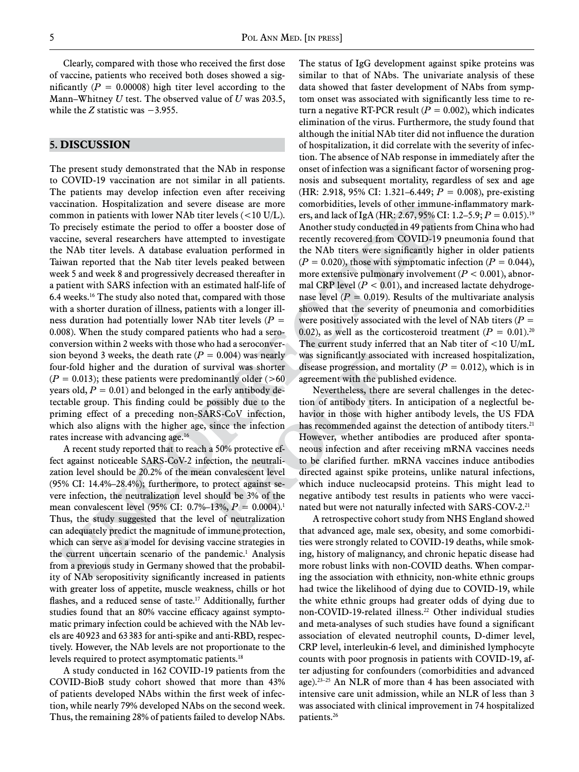Clearly, compared with those who received the first dose of vaccine, patients who received both doses showed a significantly  $(P = 0.00008)$  high titer level according to the Mann–Whitney *U* test. The observed value of *U* was 203.5, while the *Z* statistic was  $-3.955$ .

### **5. Discussion**

The present study demonstrated that the NAb in response to COVID-19 vaccination are not similar in all patients. The patients may develop infection even after receiving vaccination. Hospitalization and severe disease are more common in patients with lower NAb titer levels (<10 U/L). To precisely estimate the period to offer a booster dose of vaccine, several researchers have attempted to investigate the NAb titer levels. A database evaluation performed in Taiwan reported that the Nab titer levels peaked between week 5 and week 8 and progressively decreased thereafter in a patient with SARS infection with an estimated half-life of 6.4 weeks.16 The study also noted that, compared with those with a shorter duration of illness, patients with a longer illness duration had potentially lower NAb titer levels  $(P =$ 0.008). When the study compared patients who had a seroconversion within 2 weeks with those who had a seroconversion beyond 3 weeks, the death rate  $(P = 0.004)$  was nearly four-fold higher and the duration of survival was shorter  $(P = 0.013)$ ; these patients were predominantly older (>60) years old,  $P = 0.01$  and belonged in the early antibody detectable group. This finding could be possibly due to the priming effect of a preceding non-SARS-CoV infection, which also aligns with the higher age, since the infection rates increase with advancing age.16

A recent study reported that to reach a 50% protective effect against noticeable SARS-CoV-2 infection, the neutralization level should be 20.2% of the mean convalescent level (95% CI: 14.4%–28.4%); furthermore, to protect against severe infection, the neutralization level should be 3% of the mean convalescent level (95% CI: 0.7%–13%, *P* = 0.0004).1 Thus, the study suggested that the level of neutralization can adequately predict the magnitude of immune protection, which can serve as a model for devising vaccine strategies in the current uncertain scenario of the pandemic.<sup>1</sup> Analysis from a previous study in Germany showed that the probability of NAb seropositivity significantly increased in patients with greater loss of appetite, muscle weakness, chills or hot flashes, and a reduced sense of taste.<sup>17</sup> Additionally, further studies found that an 80% vaccine efficacy against symptomatic primary infection could be achieved with the NAb levels are 40923 and 63383 for anti-spike and anti-RBD, respectively. However, the NAb levels are not proportionate to the levels required to protect asymptomatic patients.<sup>18</sup>

A study conducted in 162 COVID-19 patients from the COVID-BioB study cohort showed that more than 43% of patients developed NAbs within the first week of infection, while nearly 79% developed NAbs on the second week. Thus, the remaining 28% of patients failed to develop NAbs. The status of IgG development against spike proteins was similar to that of NAbs. The univariate analysis of these data showed that faster development of NAbs from symptom onset was associated with significantly less time to return a negative RT-PCR result  $(P = 0.002)$ , which indicates elimination of the virus. Furthermore, the study found that although the initial NAb titer did not influence the duration of hospitalization, it did correlate with the severity of infection. The absence of NAb response in immediately after the onset of infection was a significant factor of worsening prognosis and subsequent mortality, regardless of sex and age (HR: 2.918, 95% CI: 1.321–6.449; *P* = 0.008), pre-existing comorbidities, levels of other immune-inflammatory markers, and lack of IgA (HR: 2.67, 95% CI: 1.2–5.9; *P* = 0.015).19 Another study conducted in 49 patients from China who had recently recovered from COVID-19 pneumonia found that the NAb titers were significantly higher in older patients  $(P = 0.020)$ , those with symptomatic infection  $(P = 0.044)$ , more extensive pulmonary involvement  $(P < 0.001)$ , abnormal CRP level  $(P < 0.01)$ , and increased lactate dehydrogenase level  $(P = 0.019)$ . Results of the multivariate analysis showed that the severity of pneumonia and comorbidities were positively associated with the level of NAb titers  $(P =$ 0.02), as well as the corticosteroid treatment  $(P = 0.01)$ .<sup>20</sup> The current study inferred that an Nab titer of <10 U/mL was significantly associated with increased hospitalization, disease progression, and mortality  $(P = 0.012)$ , which is in agreement with the published evidence.

Nevertheless, there are several challenges in the detection of antibody titers. In anticipation of a neglectful behavior in those with higher antibody levels, the US FDA has recommended against the detection of antibody titers.<sup>21</sup> However, whether antibodies are produced after spontaneous infection and after receiving mRNA vaccines needs to be clarified further. mRNA vaccines induce antibodies directed against spike proteins, unlike natural infections, which induce nucleocapsid proteins. This might lead to negative antibody test results in patients who were vaccinated but were not naturally infected with SARS-COV-2.<sup>21</sup>

A retrospective cohort study from NHS England showed that advanced age, male sex, obesity, and some comorbidities were strongly related to COVID-19 deaths, while smoking, history of malignancy, and chronic hepatic disease had more robust links with non-COVID deaths. When comparing the association with ethnicity, non-white ethnic groups had twice the likelihood of dying due to COVID-19, while the white ethnic groups had greater odds of dying due to non-COVID-19-related illness.<sup>22</sup> Other individual studies and meta-analyses of such studies have found a significant association of elevated neutrophil counts, D-dimer level, CRP level, interleukin-6 level, and diminished lymphocyte counts with poor prognosis in patients with COVID-19, after adjusting for confounders (comorbidities and advanced age).23–25 An NLR of more than 4 has been associated with intensive care unit admission, while an NLR of less than 3 was associated with clinical improvement in 74 hospitalized patients.26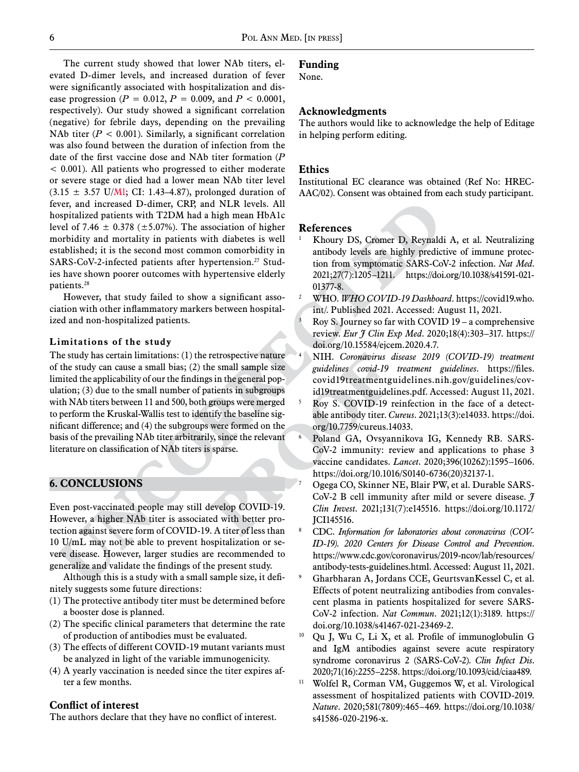The current study showed that lower NAb titers, elevated D-dimer levels, and increased duration of fever were significantly associated with hospitalization and disease progression (*P* = 0.012, *P =* 0.009, and *P* < 0.0001, respectively). Our study showed a significant correlation (negative) for febrile days, depending on the prevailing NAb titer  $(P < 0.001)$ . Similarly, a significant correlation was also found between the duration of infection from the date of the first vaccine dose and NAb titer formation (*P*  < 0.001). All patients who progressed to either moderate or severe stage or died had a lower mean NAb titer level  $(3.15 \pm 3.57 \text{ U/M1}; \text{ CI: } 1.43-4.87)$ , prolonged duration of fever, and increased D-dimer, CRP, and NLR levels. All hospitalized patients with T2DM had a high mean HbA1c level of 7.46  $\pm$  0.378 ( $\pm$ 5.07%). The association of higher morbidity and mortality in patients with diabetes is well established; it is the second most common comorbidity in SARS-CoV-2-infected patients after hypertension.<sup>27</sup> Studies have shown poorer outcomes with hypertensive elderly patients.28

However, that study failed to show a significant association with other inflammatory markers between hospitalized and non-hospitalized patients.

### **Limitations of the study**

The study has certain limitations: (1) the retrospective nature of the study can cause a small bias; (2) the small sample size limited the applicability of our the findings in the general population; (3) due to the small number of patients in subgroups with NAb titers between 11 and 500, both groups were merged to perform the Kruskal-Wallis test to identify the baseline significant difference; and (4) the subgroups were formed on the basis of the prevailing NAb titer arbitrarily, since the relevant literature on classification of NAb titers is sparse.

# **6. Conclusions**

Even post-vaccinated people may still develop COVID-19. However, a higher NAb titer is associated with better protection against severe form of COVID-19. A titer of less than 10 U/mL may not be able to prevent hospitalization or severe disease. However, larger studies are recommended to generalize and validate the findings of the present study.

Although this is a study with a small sample size, it definitely suggests some future directions:

- (1) The protective antibody titer must be determined before a booster dose is planned.
- (2) The specific clinical parameters that determine the rate of production of antibodies must be evaluated.
- (3) The effects of different COVID-19 mutant variants must be analyzed in light of the variable immunogenicity.
- (4) A yearly vaccination is needed since the titer expires after a few months.

# **Conflict of interest**

The authors declare that they have no conflict of interest.

### **Funding**

None.

### **Acknowledgments**

The authors would like to acknowledge the help of Editage in helping perform editing.

### **Ethics**

Institutional EC clearance was obtained (Ref No: HREC-AAC/02). Consent was obtained from each study participant.

### **References**

- <sup>1</sup> Khoury DS, Cromer D, Reynaldi A, et al. Neutralizing antibody levels are highly predictive of immune protection from symptomatic SARS-CoV-2 infection. *Nat Med*. 2021;27(7):1205–1211. https://doi.org/10.1038/s41591-021- 01377-8.
- <sup>2</sup> WHO. *WHO COVID-19 Dashboard*. https://covid19.who. int/. Published 2021. Accessed: August 11, 2021.
- Roy S. Journey so far with COVID  $19 a$  comprehensive review. *Eur J Clin Exp Med*. 2020;18(4):303–317. https:// doi.org/10.15584/ejcem.2020.4.7.
- <sup>4</sup> NIH. *Coronavirus disease 2019 (COVID-19) treatment guidelines covid-19 treatment guidelines*. https://files. covid19treatmentguidelines.nih.gov/guidelines/covid19treatmentguidelines.pdf. Accessed: August 11, 2021.
- <sup>5</sup> Roy S. COVID-19 reinfection in the face of a detectable antibody titer. *Cureus*. 2021;13(3):e14033. https://doi. org/10.7759/cureus.14033.
- <sup>6</sup> Poland GA, Ovsyannikova IG, Kennedy RB. SARS-CoV-2 immunity: review and applications to phase 3 vaccine candidates. *Lancet*. 2020;396(10262):1595–1606. https://doi.org/10.1016/S0140-6736(20)32137-1.
- Ogega CO, Skinner NE, Blair PW, et al. Durable SARS-CoV-2 B cell immunity after mild or severe disease. *J Clin Invest*. 2021;131(7):e145516. https://doi.org/10.1172/ JCI145516.
- <sup>8</sup> CDC. *Information for laboratories about coronavirus (COV-ID-19). 2020 Centers for Disease Control and Prevention*. https://www.cdc.gov/coronavirus/2019-ncov/lab/resources/ antibody-tests-guidelines.html. Accessed: August 11, 2021.
- <sup>9</sup> Gharbharan A, Jordans CCE, GeurtsvanKessel C, et al. Effects of potent neutralizing antibodies from convalescent plasma in patients hospitalized for severe SARS-CoV-2 infection. *Nat Commun*. 2021;12(1):3189. https:// doi.org/10.1038/s41467-021-23469-2.
- <sup>10</sup> Qu J, Wu C, Li X, et al. Profile of immunoglobulin G and IgM antibodies against severe acute respiratory syndrome coronavirus 2 (SARS-CoV-2). *Clin Infect Dis*. 2020;71(16):2255–2258. https://doi.org/10.1093/cid/ciaa489.
- <sup>11</sup> Wolfel R, Corman VM, Guggemos W, et al. Virological assessment of hospitalized patients with COVID-2019. *Nature*. 2020;581(7809):465–469. https://doi.org/10.1038/ s41586-020-2196-x.